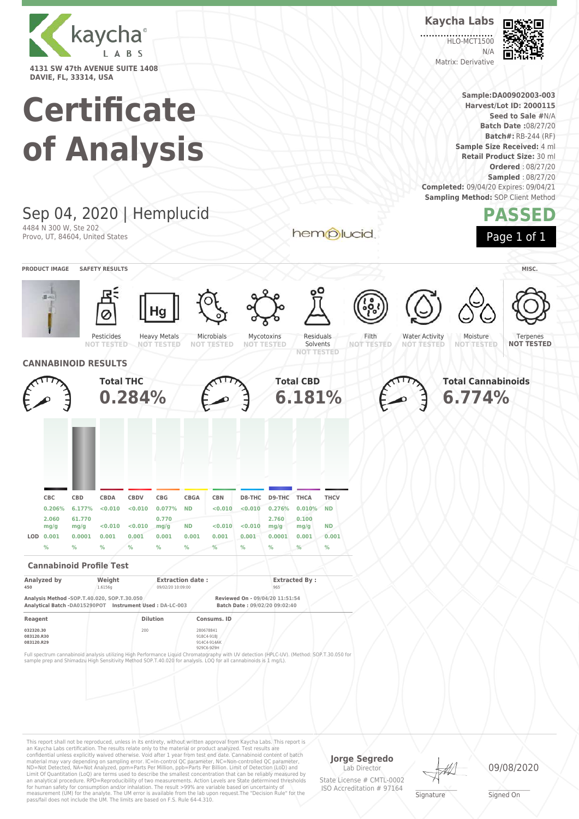

# **Certificate**



an Kaycha Labs certification. The results relate only to the material or product analyzed. Test results are<br>confidential unless explicitly waived otherwise. Void after 1 year from test end date. Cannabinoid content of bat Limit Of Quantitation (LoQ) are terms used to describe the smallest concentration that can be reliably measured by an analytical procedure. RPD=Reproducibility of two measurements. Action Levels are State determined thresholds for human safety for consumption and/or inhalation. The result >99% are variable based on uncertainty of measurement (UM) for the analyte. The UM error is available from the lab upon request.The "Decision Rule" for the pass/fail does not include the UM. The limits are based on F.S. Rule 64-4.310.

**Jorge Segredo** Lab Director

State License # CMTL-0002 ISO Accreditation # 97164

**Signature** 

09/08/2020

\_\_\_\_\_\_\_\_\_\_\_\_\_\_\_\_\_\_\_ Signed On



**Sample:DA00902003-003 Harvest/Lot ID: 2000115**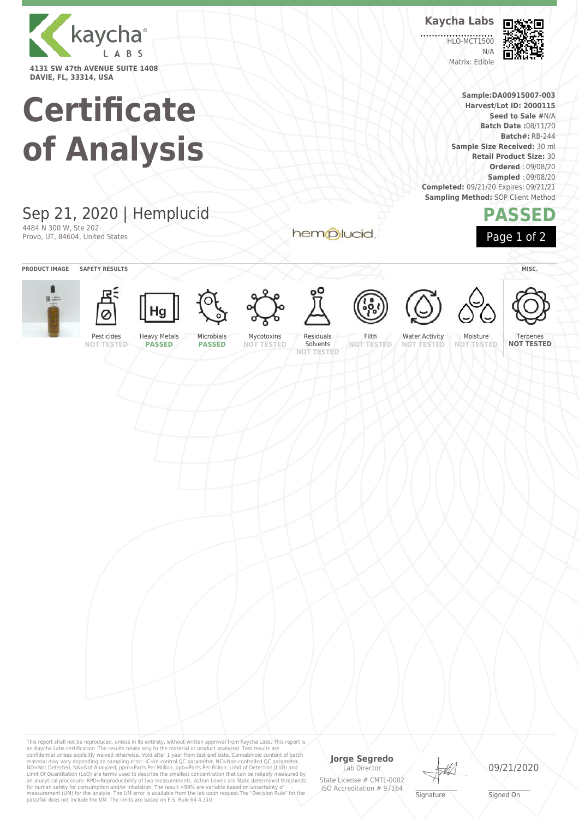

## **Certificate of Analysis**

#### Sep 21, 2020 | Hemplucid 4484 N 300 W, Ste 202

Provo, UT, 84604, United States

**PRODUCT IMAGE SAFETY RESULTS MISC.**







**PASSED**

Microbials **PASSED**





hemplucid







**NOT TESTED**



**Kaycha Labs**

**HLO-MCT1500** 

N/A Matrix: Edible



**PASSED**

Page 1 of 2

**NOT TESTED**

Terpenes **NOT TESTED**

Water Activity

Moisture

This report shall not be reproduced, unless in its entirety, without written approval from Kaycha Labs. This report is<br>an Kaycha Labs certification. The results relate only to the materal or product analyzed. Test results

#### **Jorge Segredo**

Lab Director State License # CMTL-0002 ISO Accreditation # 97164



09/21/2020

\_\_\_\_\_\_\_\_\_\_\_\_\_\_\_\_\_\_\_ Signed On



**Sample:DA00915007-003 Harvest/Lot ID: 2000115 Seed to Sale #**N/A **Batch Date :**08/11/20 **Batch#:** RB-244

**Sample Size Received:** 30 ml **Retail Product Size:** 30 **Ordered** : 09/08/20 **Sampled** : 09/08/20

**Completed:** 09/21/20 Expires: 09/21/21 **Sampling Method: SOP Client Method**